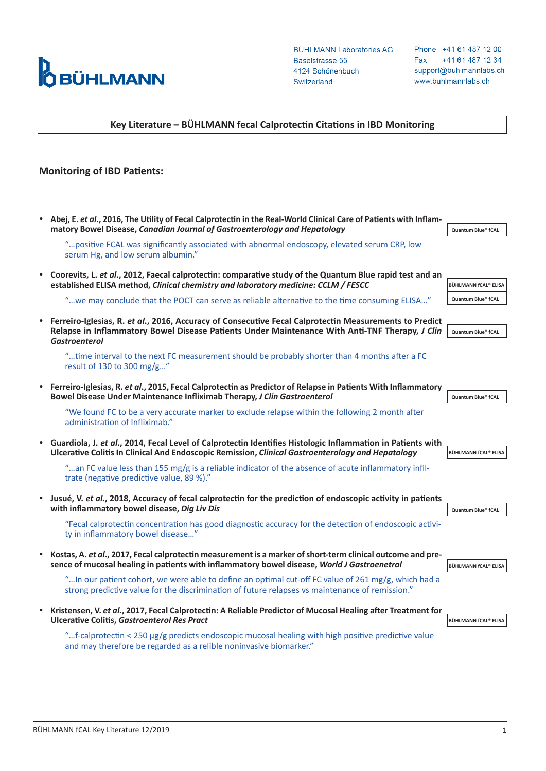

**BÜHLMANN Laboratories AG** Baselstrasse 55 4124 Schönenbuch Switzerland

Phone +41 61 487 12 00 +41 61 487 12 34 Fax support@buhlmannlabs.ch www.buhlmannlabs.ch

## **Key Literature – BÜHLMANN fecal Calprotectin Citations in IBD Monitoring**

## **Monitoring of IBD Patients:**

| $\bullet$ | Abej, E. et al., 2016, The Utility of Fecal Calprotectin in the Real-World Clinical Care of Patients with Inflam-<br>matory Bowel Disease, Canadian Journal of Gastroenterology and Hepatology                                   | Quantum Blue® fCAL          |
|-----------|----------------------------------------------------------------------------------------------------------------------------------------------------------------------------------------------------------------------------------|-----------------------------|
|           | " positive FCAL was significantly associated with abnormal endoscopy, elevated serum CRP, low<br>serum Hg, and low serum albumin."                                                                                               |                             |
|           | Coorevits, L. et al., 2012, Faecal calprotectin: comparative study of the Quantum Blue rapid test and an<br>established ELISA method, Clinical chemistry and laboratory medicine: CCLM / FESCC                                   | <b>BÜHLMANN fCAL® ELISA</b> |
|           | "we may conclude that the POCT can serve as reliable alternative to the time consuming ELISA"                                                                                                                                    | Quantum Blue® fCAL          |
|           | Ferreiro-Iglesias, R. et al., 2016, Accuracy of Consecutive Fecal Calprotectin Measurements to Predict<br>Relapse in Inflammatory Bowel Disease Patients Under Maintenance With Anti-TNF Therapy, J Clin<br><b>Gastroenterol</b> | Quantum Blue® fCAL          |
|           | "time interval to the next FC measurement should be probably shorter than 4 months after a FC<br>result of 130 to 300 mg/g"                                                                                                      |                             |
| $\bullet$ | Ferreiro-Iglesias, R. et al., 2015, Fecal Calprotectin as Predictor of Relapse in Patients With Inflammatory<br>Bowel Disease Under Maintenance Infliximab Therapy, J Clin Gastroenterol                                         | <b>Quantum Blue® fCAL</b>   |
|           | "We found FC to be a very accurate marker to exclude relapse within the following 2 month after<br>administration of Infliximab."                                                                                                |                             |
|           | Guardiola, J. et al., 2014, Fecal Level of Calprotectin Identifies Histologic Inflammation in Patients with<br>Ulcerative Colitis In Clinical And Endoscopic Remission, Clinical Gastroenterology and Hepatology                 | <b>BÜHLMANN fCAL® ELISA</b> |
|           | "an FC value less than 155 mg/g is a reliable indicator of the absence of acute inflammatory infil-<br>trate (negative predictive value, 89 %)."                                                                                 |                             |
|           | Jusué, V. et al., 2018, Accuracy of fecal calprotectin for the prediction of endoscopic activity in patients<br>with inflammatory bowel disease, Dig Liv Dis                                                                     | Quantum Blue® fCAL          |
|           | "Fecal calprotectin concentration has good diagnostic accuracy for the detection of endoscopic activi-<br>ty in inflammatory bowel disease"                                                                                      |                             |
| $\bullet$ | Kostas, A. et al., 2017, Fecal calprotectin measurement is a marker of short-term clinical outcome and pre-<br>sence of mucosal healing in patients with inflammatory bowel disease, World J Gastroenetrol                       | <b>BÜHLMANN fCAL® ELISA</b> |
|           | "ln our patient cohort, we were able to define an optimal cut-off FC value of 261 mg/g, which had a<br>strong predictive value for the discrimination of future relapses vs maintenance of remission."                           |                             |
| $\bullet$ | Kristensen, V. et al., 2017, Fecal Calprotectin: A Reliable Predictor of Mucosal Healing after Treatment for<br><b>Ulcerative Colitis, Gastroenterol Res Pract</b>                                                               | <b>BÜHLMANN fCAL® ELISA</b> |
|           | f-calprotectin < 250 µg/g predicts endoscopic mucosal healing with high positive predictive value<br>and may therefore be regarded as a relible noninvasive biomarker."                                                          |                             |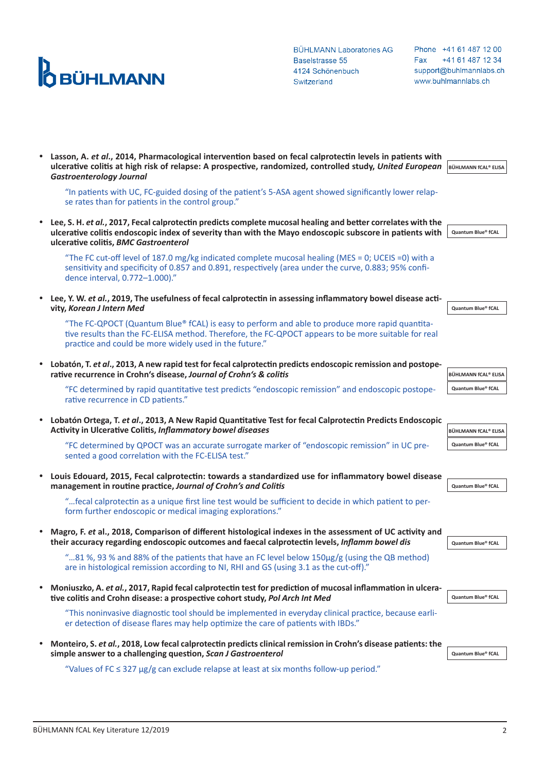## **D**<br>**OBÜHLMANN**

**BÜHLMANN Laboratories AG** Baselstrasse 55 4124 Schönenbuch Switzerland

Phone +41 61 487 12 00 Fax +41 61 487 12 34 support@buhlmannlabs.ch www.buhlmannlabs.ch

|           | ulcerative colitis at high risk of relapse: A prospective, randomized, controlled study, United European BÜHLMANN fCAL® ELISA<br><b>Gastroenterology Journal</b>                                                                                                 |                      |
|-----------|------------------------------------------------------------------------------------------------------------------------------------------------------------------------------------------------------------------------------------------------------------------|----------------------|
|           | "In patients with UC, FC-guided dosing of the patient's 5-ASA agent showed significantly lower relap-<br>se rates than for patients in the control group."                                                                                                       |                      |
| $\bullet$ | Lee, S. H. et al., 2017, Fecal calprotectin predicts complete mucosal healing and better correlates with the<br>ulcerative colitis endoscopic index of severity than with the Mayo endoscopic subscore in patients with<br>ulcerative colitis, BMC Gastroenterol | Quantum Blue® fCAL   |
|           | "The FC cut-off level of 187.0 mg/kg indicated complete mucosal healing (MES = 0; UCEIS = 0) with a<br>sensitivity and specificity of 0.857 and 0.891, respectively (area under the curve, 0.883; 95% confi-<br>dence interval, 0.772-1.000)."                   |                      |
| $\bullet$ | Lee, Y. W. et al., 2019, The usefulness of fecal calprotectin in assessing inflammatory bowel disease acti-<br>vity, Korean J Intern Med                                                                                                                         | Quantum Blue® fCAL   |
|           | "The FC-QPOCT (Quantum Blue® fCAL) is easy to perform and able to produce more rapid quantita-<br>tive results than the FC-ELISA method. Therefore, the FC-QPOCT appears to be more suitable for real<br>practice and could be more widely used in the future."  |                      |
| $\bullet$ | Lobatón, T. et al., 2013, A new rapid test for fecal calprotectin predicts endoscopic remission and postope-<br>rative recurrence in Crohn's disease, Journal of Crohn's & colitis                                                                               | BÜHLMANN fCAL® ELISA |
|           | "FC determined by rapid quantitative test predicts "endoscopic remission" and endoscopic postope-<br>rative recurrence in CD patients."                                                                                                                          | Quantum Blue® fCAL   |
| $\bullet$ | Lobatón Ortega, T. et al., 2013, A New Rapid Quantitative Test for fecal Calprotectin Predicts Endoscopic<br>Activity in Ulcerative Colitis, Inflammatory bowel diseases                                                                                         | BÜHLMANN fCAL® ELISA |
|           | "FC determined by QPOCT was an accurate surrogate marker of "endoscopic remission" in UC pre-<br>sented a good correlation with the FC-ELISA test."                                                                                                              | Quantum Blue® fCAL   |
| $\bullet$ | Louis Edouard, 2015, Fecal calprotectin: towards a standardized use for inflammatory bowel disease<br>management in routine practice, Journal of Crohn's and Colitis                                                                                             | Quantum Blue® fCAL   |
|           | fecal calprotectin as a unique first line test would be sufficient to decide in which patient to per-<br>form further endoscopic or medical imaging explorations."                                                                                               |                      |
| $\bullet$ | Magro, F. et al., 2018, Comparison of different histological indexes in the assessment of UC activity and<br>their accuracy regarding endoscopic outcomes and faecal calprotectin levels, Inflamm bowel dis                                                      | Quantum Blue® fCAL   |
|           | "81 %, 93 % and 88% of the patients that have an FC level below 150µg/g (using the QB method)<br>are in histological remission according to NI, RHI and GS (using 3.1 as the cut-off)."                                                                          |                      |
| ٠         | Moniuszko, A. et al., 2017, Rapid fecal calprotectin test for prediction of mucosal inflammation in ulcera-<br>tive colitis and Crohn disease: a prospective cohort study, Pol Arch Int Med                                                                      | Quantum Blue® fCAL   |
|           | "This noninvasive diagnostic tool should be implemented in everyday clinical practice, because earli-<br>er detection of disease flares may help optimize the care of patients with IBDs."                                                                       |                      |
| ٠         | Monteiro, S. et al., 2018, Low fecal calprotectin predicts clinical remission in Crohn's disease patients: the<br>simple answer to a challenging question, Scan J Gastroenterol                                                                                  | Quantum Blue® fCAL   |
|           | "Values of FC $\leq$ 327 $\mu$ g/g can exclude relapse at least at six months follow-up period."                                                                                                                                                                 |                      |

y **Lasson, A.** *et al***., 2014, Pharmacological intervention based on fecal calprotectin levels in patients with**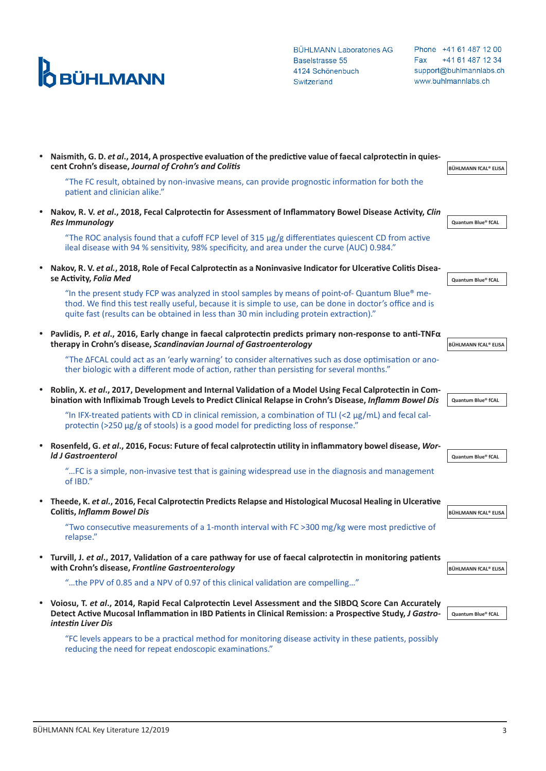

**BÜHLMANN Laboratories AG** Baselstrasse 55 4124 Schönenbuch Switzerland

Phone +41 61 487 12 00 Fax +41 61 487 12 34 support@buhlmannlabs.ch www.buhlmannlabs.ch

|           | Naismith, G. D. et al., 2014, A prospective evaluation of the predictive value of faecal calprotectin in quies-<br>cent Crohn's disease, Journal of Crohn's and Colitis                                                                                                                                | BÜHLMANN fCAL® ELISA        |
|-----------|--------------------------------------------------------------------------------------------------------------------------------------------------------------------------------------------------------------------------------------------------------------------------------------------------------|-----------------------------|
|           | "The FC result, obtained by non-invasive means, can provide prognostic information for both the<br>patient and clinician alike."                                                                                                                                                                       |                             |
|           | Nakov, R. V. et al., 2018, Fecal Calprotectin for Assessment of Inflammatory Bowel Disease Activity, Clin<br><b>Res Immunology</b>                                                                                                                                                                     | Quantum Blue® fCAL          |
|           | "The ROC analysis found that a cufoff FCP level of $315 \mu g/g$ differentiates quiescent CD from active<br>lleal disease with 94 % sensitivity, 98% specificity, and area under the curve (AUC) 0.984."                                                                                               |                             |
|           | Nakov, R. V. et al., 2018, Role of Fecal Calprotectin as a Noninvasive Indicator for Ulcerative Colitis Disea-<br>se Activity, Folia Med                                                                                                                                                               | Quantum Blue® fCAL          |
|           | "In the present study FCP was analyzed in stool samples by means of point-of-Quantum Blue® me-<br>thod. We find this test really useful, because it is simple to use, can be done in doctor's office and is<br>quite fast (results can be obtained in less than 30 min including protein extraction)." |                             |
|           | Pavlidis, P. et al., 2016, Early change in faecal calprotectin predicts primary non-response to anti-TNF $\alpha$<br>therapy in Crohn's disease, Scandinavian Journal of Gastroenterology                                                                                                              | <b>BÜHLMANN fCAL® ELISA</b> |
|           | "The ΔFCAL could act as an 'early warning' to consider alternatives such as dose optimisation or ano-<br>ther biologic with a different mode of action, rather than persisting for several months."                                                                                                    |                             |
|           | Roblin, X. et al., 2017, Development and Internal Validation of a Model Using Fecal Calprotectin in Com-<br>bination with Infliximab Trough Levels to Predict Clinical Relapse in Crohn's Disease, Inflamm Bowel Dis                                                                                   | Quantum Blue® fCAL          |
|           | "In IFX-treated patients with CD in clinical remission, a combination of TLI (<2 $\mu$ g/mL) and fecal cal-<br>protectin (>250 µg/g of stools) is a good model for predicting loss of response."                                                                                                       |                             |
|           | Rosenfeld, G. et al., 2016, Focus: Future of fecal calprotectin utility in inflammatory bowel disease, Wor-<br><b>Id J Gastroenterol</b>                                                                                                                                                               | Quantum Blue® fCAL          |
|           | "FC is a simple, non-invasive test that is gaining widespread use in the diagnosis and management<br>of IBD."                                                                                                                                                                                          |                             |
| $\bullet$ | Theede, K. et al., 2016, Fecal Calprotectin Predicts Relapse and Histological Mucosal Healing in Ulcerative<br><b>Colitis, Inflamm Bowel Dis</b>                                                                                                                                                       | <b>BÜHLMANN fCAL® ELISA</b> |
|           | "Two consecutive measurements of a 1-month interval with FC >300 mg/kg were most predictive of<br>relapse."                                                                                                                                                                                            |                             |
|           | • Turvill, J. et al., 2017, Validation of a care pathway for use of faecal calprotectin in monitoring patients<br>with Crohn's disease, Frontline Gastroenterology                                                                                                                                     | BÜHLMANN fCAL® ELISA        |
|           | "the PPV of 0.85 and a NPV of 0.97 of this clinical validation are compelling"                                                                                                                                                                                                                         |                             |
|           | • Voiosu, T. et al., 2014, Rapid Fecal Calprotectin Level Assessment and the SIBDQ Score Can Accurately<br>Detect Active Mucosal Inflammation in IBD Patients in Clinical Remission: a Prospective Study, J Gastro-<br>intestin Liver Dis                                                              | Quantum Blue® fCAL          |

"FC levels appears to be a practical method for monitoring disease activity in these patients, possibly reducing the need for repeat endoscopic examinations."